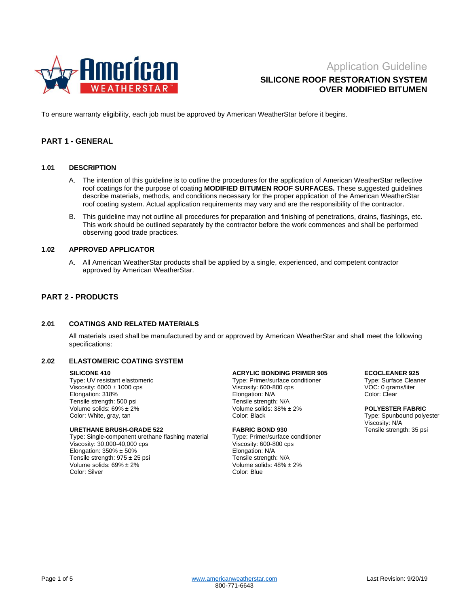

# **SILICONE ROOF RESTORATION SYSTEM OVER MODIFIED BITUMEN**

To ensure warranty eligibility, each job must be approved by American WeatherStar before it begins.

## **PART 1 - GENERAL**

#### **1.01 DESCRIPTION**

- A. The intention of this guideline is to outline the procedures for the application of American WeatherStar reflective roof coatings for the purpose of coating **MODIFIED BITUMEN ROOF SURFACES.** These suggested guidelines describe materials, methods, and conditions necessary for the proper application of the American WeatherStar roof coating system. Actual application requirements may vary and are the responsibility of the contractor.
- B. This guideline may not outline all procedures for preparation and finishing of penetrations, drains, flashings, etc. This work should be outlined separately by the contractor before the work commences and shall be performed observing good trade practices.

### **1.02 APPROVED APPLICATOR**

A. All American WeatherStar products shall be applied by a single, experienced, and competent contractor approved by American WeatherStar.

# **PART 2 - PRODUCTS**

#### **2.01 COATINGS AND RELATED MATERIALS**

All materials used shall be manufactured by and or approved by American WeatherStar and shall meet the following specifications:

#### **2.02 ELASTOMERIC COATING SYSTEM**

#### **SILICONE 410**

Type: UV resistant elastomeric Viscosity:  $6000 \pm 1000$  cps Elongation: 318% Tensile strength: 500 psi Volume solids: 69% ± 2% Color: White, gray, tan

#### **URETHANE BRUSH-GRADE 522**

Type: Single-component urethane flashing material Viscosity: 30,000-40,000 cps Elongation:  $350\% \pm 50\%$ Tensile strength:  $975 \pm 25$  psi Volume solids: 69% ± 2% Color: Silver

#### **ACRYLIC BONDING PRIMER 905**

Type: Primer/surface conditioner Viscosity: 600-800 cps Elongation: N/A Tensile strength: N/A Volume solids: 38% ± 2% Color: Black

### **FABRIC BOND 930** Type: Primer/surface conditioner

Viscosity: 600-800 cps Elongation: N/A Tensile strength: N/A Volume solids: 48% ± 2% Color: Blue

#### **ECOCLEANER 925**

Type: Surface Cleaner VOC: 0 grams/liter Color: Clear

#### **POLYESTER FABRIC** Type: Spunbound polyester Viscosity: N/A Tensile strength: 35 psi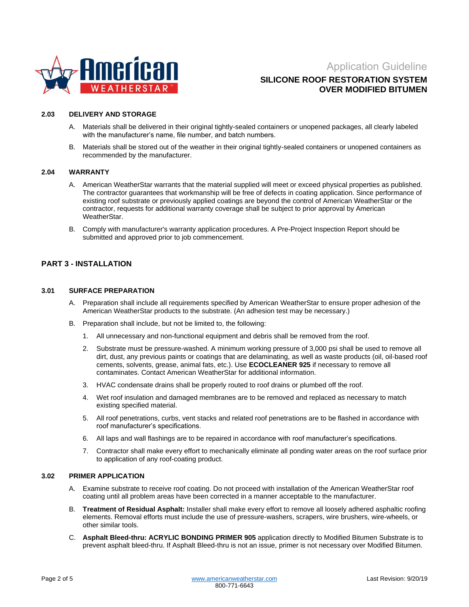

# **SILICONE ROOF RESTORATION SYSTEM OVER MODIFIED BITUMEN**

### **2.03 DELIVERY AND STORAGE**

- A. Materials shall be delivered in their original tightly-sealed containers or unopened packages, all clearly labeled with the manufacturer's name, file number, and batch numbers.
- B. Materials shall be stored out of the weather in their original tightly-sealed containers or unopened containers as recommended by the manufacturer.

### **2.04 WARRANTY**

- A. American WeatherStar warrants that the material supplied will meet or exceed physical properties as published. The contractor guarantees that workmanship will be free of defects in coating application. Since performance of existing roof substrate or previously applied coatings are beyond the control of American WeatherStar or the contractor, requests for additional warranty coverage shall be subject to prior approval by American WeatherStar.
- B. Comply with manufacturer's warranty application procedures. A Pre-Project Inspection Report should be submitted and approved prior to job commencement.

### **PART 3 - INSTALLATION**

### **3.01 SURFACE PREPARATION**

- A. Preparation shall include all requirements specified by American WeatherStar to ensure proper adhesion of the American WeatherStar products to the substrate. (An adhesion test may be necessary.)
- B. Preparation shall include, but not be limited to, the following:
	- 1. All unnecessary and non-functional equipment and debris shall be removed from the roof.
	- 2. Substrate must be pressure-washed. A minimum working pressure of 3,000 psi shall be used to remove all dirt, dust, any previous paints or coatings that are delaminating, as well as waste products (oil, oil-based roof cements, solvents, grease, animal fats, etc.). Use **ECOCLEANER 925** if necessary to remove all contaminates. Contact American WeatherStar for additional information.
	- 3. HVAC condensate drains shall be properly routed to roof drains or plumbed off the roof.
	- 4. Wet roof insulation and damaged membranes are to be removed and replaced as necessary to match existing specified material.
	- 5. All roof penetrations, curbs, vent stacks and related roof penetrations are to be flashed in accordance with roof manufacturer's specifications.
	- 6. All laps and wall flashings are to be repaired in accordance with roof manufacturer's specifications.
	- 7. Contractor shall make every effort to mechanically eliminate all ponding water areas on the roof surface prior to application of any roof-coating product.

### **3.02 PRIMER APPLICATION**

- A. Examine substrate to receive roof coating. Do not proceed with installation of the American WeatherStar roof coating until all problem areas have been corrected in a manner acceptable to the manufacturer.
- B. **Treatment of Residual Asphalt:** Installer shall make every effort to remove all loosely adhered asphaltic roofing elements. Removal efforts must include the use of pressure-washers, scrapers, wire brushers, wire-wheels, or other similar tools.
- C. **Asphalt Bleed-thru: ACRYLIC BONDING PRIMER 905** application directly to Modified Bitumen Substrate is to prevent asphalt bleed-thru. If Asphalt Bleed-thru is not an issue, primer is not necessary over Modified Bitumen.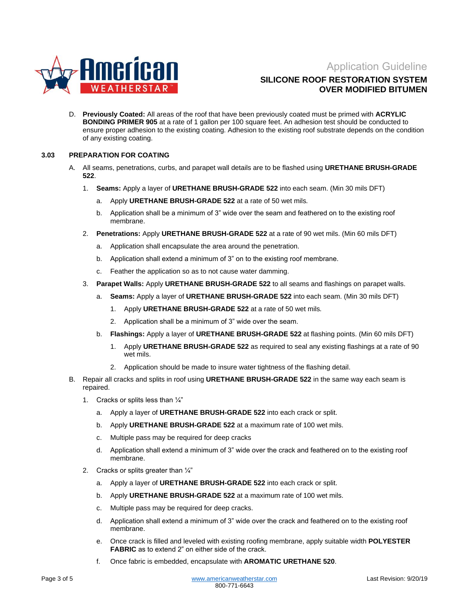

# **SILICONE ROOF RESTORATION SYSTEM OVER MODIFIED BITUMEN**

D. **Previously Coated:** All areas of the roof that have been previously coated must be primed with **ACRYLIC BONDING PRIMER 905** at a rate of 1 gallon per 100 square feet. An adhesion test should be conducted to ensure proper adhesion to the existing coating. Adhesion to the existing roof substrate depends on the condition of any existing coating.

### **3.03 PREPARATION FOR COATING**

- A. All seams, penetrations, curbs, and parapet wall details are to be flashed using **URETHANE BRUSH-GRADE 522**.
	- 1. **Seams:** Apply a layer of **URETHANE BRUSH-GRADE 522** into each seam. (Min 30 mils DFT)
		- a. Apply **URETHANE BRUSH-GRADE 522** at a rate of 50 wet mils.
		- b. Application shall be a minimum of 3" wide over the seam and feathered on to the existing roof membrane.
	- 2. **Penetrations:** Apply **URETHANE BRUSH-GRADE 522** at a rate of 90 wet mils. (Min 60 mils DFT)
		- a. Application shall encapsulate the area around the penetration.
		- b. Application shall extend a minimum of 3" on to the existing roof membrane.
		- c. Feather the application so as to not cause water damming.
	- 3. **Parapet Walls:** Apply **URETHANE BRUSH-GRADE 522** to all seams and flashings on parapet walls.
		- a. **Seams:** Apply a layer of **URETHANE BRUSH-GRADE 522** into each seam. (Min 30 mils DFT)
			- 1. Apply **URETHANE BRUSH-GRADE 522** at a rate of 50 wet mils.
			- 2. Application shall be a minimum of 3" wide over the seam.
		- b. **Flashings:** Apply a layer of **URETHANE BRUSH-GRADE 522** at flashing points. (Min 60 mils DFT)
			- 1. Apply **URETHANE BRUSH-GRADE 522** as required to seal any existing flashings at a rate of 90 wet mils.
			- 2. Application should be made to insure water tightness of the flashing detail.
- B. Repair all cracks and splits in roof using **URETHANE BRUSH-GRADE 522** in the same way each seam is repaired.
	- 1. Cracks or splits less than  $\frac{1}{4}$ "
		- a. Apply a layer of **URETHANE BRUSH-GRADE 522** into each crack or split.
		- b. Apply **URETHANE BRUSH-GRADE 522** at a maximum rate of 100 wet mils.
		- c. Multiple pass may be required for deep cracks
		- d. Application shall extend a minimum of 3" wide over the crack and feathered on to the existing roof membrane.
	- 2. Cracks or splits greater than  $\frac{1}{4}$ "
		- a. Apply a layer of **URETHANE BRUSH-GRADE 522** into each crack or split.
		- b. Apply **URETHANE BRUSH-GRADE 522** at a maximum rate of 100 wet mils.
		- c. Multiple pass may be required for deep cracks.
		- d. Application shall extend a minimum of 3" wide over the crack and feathered on to the existing roof membrane.
		- e. Once crack is filled and leveled with existing roofing membrane, apply suitable width **POLYESTER FABRIC** as to extend 2" on either side of the crack.
		- f. Once fabric is embedded, encapsulate with **AROMATIC URETHANE 520**.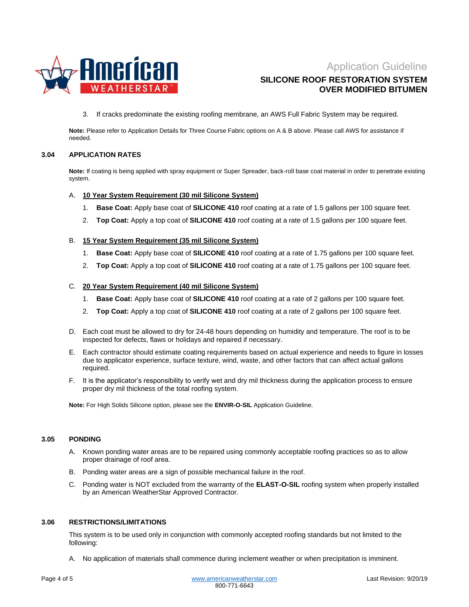

# **SILICONE ROOF RESTORATION SYSTEM OVER MODIFIED BITUMEN**

3. If cracks predominate the existing roofing membrane, an AWS Full Fabric System may be required.

**Note:** Please refer to Application Details for Three Course Fabric options on A & B above. Please call AWS for assistance if needed.

### **3.04 APPLICATION RATES**

**Note:** If coating is being applied with spray equipment or Super Spreader, back-roll base coat material in order to penetrate existing system.

### A. **10 Year System Requirement (30 mil Silicone System)**

- 1. **Base Coat:** Apply base coat of **SILICONE 410** roof coating at a rate of 1.5 gallons per 100 square feet.
- 2. **Top Coat:** Apply a top coat of **SILICONE 410** roof coating at a rate of 1.5 gallons per 100 square feet.

### B. **15 Year System Requirement (35 mil Silicone System)**

- 1. **Base Coat:** Apply base coat of **SILICONE 410** roof coating at a rate of 1.75 gallons per 100 square feet.
- 2. **Top Coat:** Apply a top coat of **SILICONE 410** roof coating at a rate of 1.75 gallons per 100 square feet.

### C. **20 Year System Requirement (40 mil Silicone System)**

- 1. **Base Coat:** Apply base coat of **SILICONE 410** roof coating at a rate of 2 gallons per 100 square feet.
- 2. **Top Coat:** Apply a top coat of **SILICONE 410** roof coating at a rate of 2 gallons per 100 square feet.
- D. Each coat must be allowed to dry for 24-48 hours depending on humidity and temperature. The roof is to be inspected for defects, flaws or holidays and repaired if necessary.
- E. Each contractor should estimate coating requirements based on actual experience and needs to figure in losses due to applicator experience, surface texture, wind, waste, and other factors that can affect actual gallons required.
- F. It is the applicator's responsibility to verify wet and dry mil thickness during the application process to ensure proper dry mil thickness of the total roofing system.

**Note:** For High Solids Silicone option, please see the **ENVIR-O-SIL** Application Guideline.

### **3.05 PONDING**

- A. Known ponding water areas are to be repaired using commonly acceptable roofing practices so as to allow proper drainage of roof area.
- B. Ponding water areas are a sign of possible mechanical failure in the roof.
- C. Ponding water is NOT excluded from the warranty of the **ELAST-O-SIL** roofing system when properly installed by an American WeatherStar Approved Contractor.

### **3.06 RESTRICTIONS/LIMITATIONS**

This system is to be used only in conjunction with commonly accepted roofing standards but not limited to the following:

A. No application of materials shall commence during inclement weather or when precipitation is imminent.